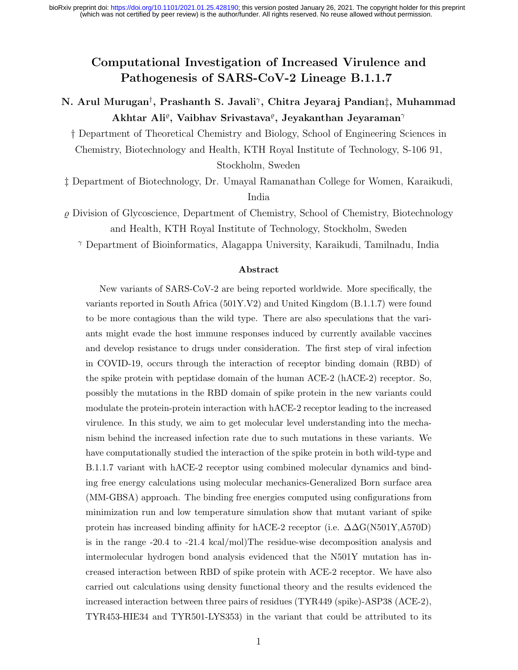(which was not certified by peer review) is the author/funder. All rights reserved. No reuse allowed without permission. bioRxiv preprint doi: [https://doi.org/10.1101/2021.01.25.428190;](https://doi.org/10.1101/2021.01.25.428190) this version posted January 26, 2021. The copyright holder for this preprint

## Computational Investigation of Increased Virulence and Pathogenesis of SARS-CoV-2 Lineage B.1.1.7

### N. Arul Murugan† , Prashanth S. Javali<sup>γ</sup> , Chitra Jeyaraj Pandian‡, Muhammad  $\mathbf{A}$ khtar Ali $\text{e}$ , Vaibhav Srivastava $\text{e}$ , Jeyakanthan Jeyaraman $\text{e}$

† Department of Theoretical Chemistry and Biology, School of Engineering Sciences in Chemistry, Biotechnology and Health, KTH Royal Institute of Technology, S-106 91, Stockholm, Sweden

‡ Department of Biotechnology, Dr. Umayal Ramanathan College for Women, Karaikudi, India

 $\rho$  Division of Glycoscience, Department of Chemistry, School of Chemistry, Biotechnology and Health, KTH Royal Institute of Technology, Stockholm, Sweden

<sup>γ</sup> Department of Bioinformatics, Alagappa University, Karaikudi, Tamilnadu, India

#### Abstract

New variants of SARS-CoV-2 are being reported worldwide. More specifically, the variants reported in South Africa (501Y.V2) and United Kingdom (B.1.1.7) were found to be more contagious than the wild type. There are also speculations that the variants might evade the host immune responses induced by currently available vaccines and develop resistance to drugs under consideration. The first step of viral infection in COVID-19, occurs through the interaction of receptor binding domain (RBD) of the spike protein with peptidase domain of the human ACE-2 (hACE-2) receptor. So, possibly the mutations in the RBD domain of spike protein in the new variants could modulate the protein-protein interaction with hACE-2 receptor leading to the increased virulence. In this study, we aim to get molecular level understanding into the mechanism behind the increased infection rate due to such mutations in these variants. We have computationally studied the interaction of the spike protein in both wild-type and B.1.1.7 variant with hACE-2 receptor using combined molecular dynamics and binding free energy calculations using molecular mechanics-Generalized Born surface area (MM-GBSA) approach. The binding free energies computed using configurations from minimization run and low temperature simulation show that mutant variant of spike protein has increased binding affinity for hACE-2 receptor (i.e. ∆∆G(N501Y,A570D) is in the range -20.4 to -21.4 kcal/mol)The residue-wise decomposition analysis and intermolecular hydrogen bond analysis evidenced that the N501Y mutation has increased interaction between RBD of spike protein with ACE-2 receptor. We have also carried out calculations using density functional theory and the results evidenced the increased interaction between three pairs of residues (TYR449 (spike)-ASP38 (ACE-2), TYR453-HIE34 and TYR501-LYS353) in the variant that could be attributed to its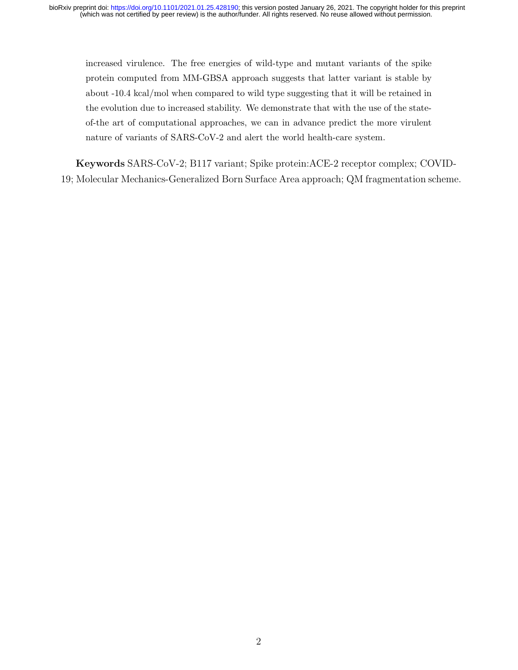increased virulence. The free energies of wild-type and mutant variants of the spike protein computed from MM-GBSA approach suggests that latter variant is stable by about -10.4 kcal/mol when compared to wild type suggesting that it will be retained in the evolution due to increased stability. We demonstrate that with the use of the stateof-the art of computational approaches, we can in advance predict the more virulent nature of variants of SARS-CoV-2 and alert the world health-care system.

Keywords SARS-CoV-2; B117 variant; Spike protein:ACE-2 receptor complex; COVID-19; Molecular Mechanics-Generalized Born Surface Area approach; QM fragmentation scheme.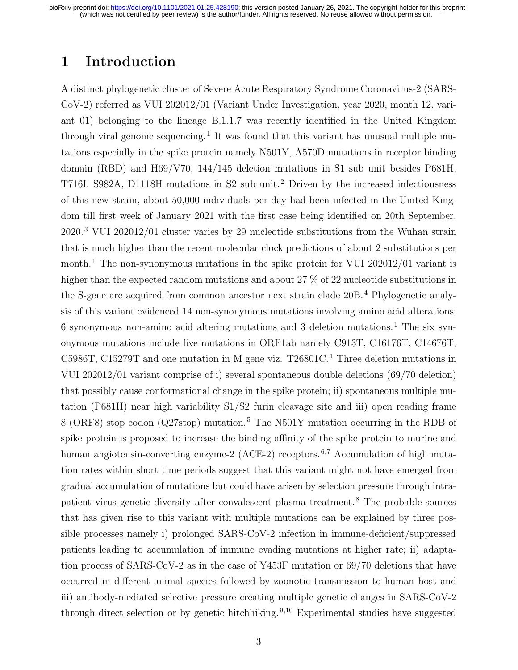# 1 Introduction

A distinct phylogenetic cluster of Severe Acute Respiratory Syndrome Coronavirus-2 (SARS-CoV-2) referred as VUI 202012/01 (Variant Under Investigation, year 2020, month 12, variant 01) belonging to the lineage B.1.1.7 was recently identified in the United Kingdom through viral genome sequencing.<sup>1</sup> It was found that this variant has unusual multiple mutations especially in the spike protein namely N501Y, A570D mutations in receptor binding domain (RBD) and H69/V70, 144/145 deletion mutations in S1 sub unit besides P681H, T716I, S982A, D1118H mutations in S2 sub unit.<sup>2</sup> Driven by the increased infectiousness of this new strain, about 50,000 individuals per day had been infected in the United Kingdom till first week of January 2021 with the first case being identified on 20th September, 2020.<sup>3</sup> VUI 202012/01 cluster varies by 29 nucleotide substitutions from the Wuhan strain that is much higher than the recent molecular clock predictions of about 2 substitutions per month.<sup>1</sup> The non-synonymous mutations in the spike protein for VUI 202012/01 variant is higher than the expected random mutations and about 27  $\%$  of 22 nucleotide substitutions in the S-gene are acquired from common ancestor next strain clade 20B.<sup>4</sup> Phylogenetic analysis of this variant evidenced 14 non-synonymous mutations involving amino acid alterations; 6 synonymous non-amino acid altering mutations and 3 deletion mutations.<sup>1</sup> The six synonymous mutations include five mutations in ORF1ab namely C913T, C16176T, C14676T, C5986T, C15279T and one mutation in M gene viz. T26801C.<sup>1</sup> Three deletion mutations in VUI 202012/01 variant comprise of i) several spontaneous double deletions (69/70 deletion) that possibly cause conformational change in the spike protein; ii) spontaneous multiple mutation (P681H) near high variability S1/S2 furin cleavage site and iii) open reading frame 8 (ORF8) stop codon (Q27stop) mutation.<sup>5</sup> The N501Y mutation occurring in the RDB of spike protein is proposed to increase the binding affinity of the spike protein to murine and human angiotensin-converting enzyme-2 (ACE-2) receptors.<sup>6,7</sup> Accumulation of high mutation rates within short time periods suggest that this variant might not have emerged from gradual accumulation of mutations but could have arisen by selection pressure through intrapatient virus genetic diversity after convalescent plasma treatment.<sup>8</sup> The probable sources that has given rise to this variant with multiple mutations can be explained by three possible processes namely i) prolonged SARS-CoV-2 infection in immune-deficient/suppressed patients leading to accumulation of immune evading mutations at higher rate; ii) adaptation process of SARS-CoV-2 as in the case of Y453F mutation or 69/70 deletions that have occurred in different animal species followed by zoonotic transmission to human host and iii) antibody-mediated selective pressure creating multiple genetic changes in SARS-CoV-2 through direct selection or by genetic hitchhiking.<sup>9,10</sup> Experimental studies have suggested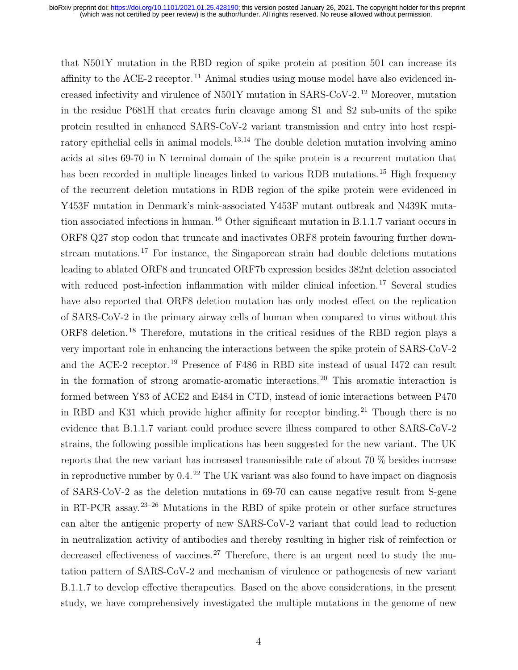that N501Y mutation in the RBD region of spike protein at position 501 can increase its affinity to the ACE-2 receptor.<sup>11</sup> Animal studies using mouse model have also evidenced increased infectivity and virulence of N501Y mutation in SARS-CoV-2.<sup>12</sup> Moreover, mutation in the residue P681H that creates furin cleavage among S1 and S2 sub-units of the spike protein resulted in enhanced SARS-CoV-2 variant transmission and entry into host respiratory epithelial cells in animal models.<sup>13,14</sup> The double deletion mutation involving amino acids at sites 69-70 in N terminal domain of the spike protein is a recurrent mutation that has been recorded in multiple lineages linked to various RDB mutations.<sup>15</sup> High frequency of the recurrent deletion mutations in RDB region of the spike protein were evidenced in Y453F mutation in Denmark's mink-associated Y453F mutant outbreak and N439K mutation associated infections in human.<sup>16</sup> Other significant mutation in B.1.1.7 variant occurs in ORF8 Q27 stop codon that truncate and inactivates ORF8 protein favouring further downstream mutations.<sup>17</sup> For instance, the Singaporean strain had double deletions mutations leading to ablated ORF8 and truncated ORF7b expression besides 382nt deletion associated with reduced post-infection inflammation with milder clinical infection.<sup>17</sup> Several studies have also reported that ORF8 deletion mutation has only modest effect on the replication of SARS-CoV-2 in the primary airway cells of human when compared to virus without this ORF8 deletion.<sup>18</sup> Therefore, mutations in the critical residues of the RBD region plays a very important role in enhancing the interactions between the spike protein of SARS-CoV-2 and the ACE-2 receptor.<sup>19</sup> Presence of F486 in RBD site instead of usual I472 can result in the formation of strong aromatic-aromatic interactions.<sup>20</sup> This aromatic interaction is formed between Y83 of ACE2 and E484 in CTD, instead of ionic interactions between P470 in RBD and K31 which provide higher affinity for receptor binding.<sup>21</sup> Though there is no evidence that B.1.1.7 variant could produce severe illness compared to other SARS-CoV-2 strains, the following possible implications has been suggested for the new variant. The UK reports that the new variant has increased transmissible rate of about 70 % besides increase in reproductive number by  $0.4<sup>22</sup>$  The UK variant was also found to have impact on diagnosis of SARS-CoV-2 as the deletion mutations in 69-70 can cause negative result from S-gene in RT-PCR assay.23–26 Mutations in the RBD of spike protein or other surface structures can alter the antigenic property of new SARS-CoV-2 variant that could lead to reduction in neutralization activity of antibodies and thereby resulting in higher risk of reinfection or decreased effectiveness of vaccines.<sup>27</sup> Therefore, there is an urgent need to study the mutation pattern of SARS-CoV-2 and mechanism of virulence or pathogenesis of new variant B.1.1.7 to develop effective therapeutics. Based on the above considerations, in the present study, we have comprehensively investigated the multiple mutations in the genome of new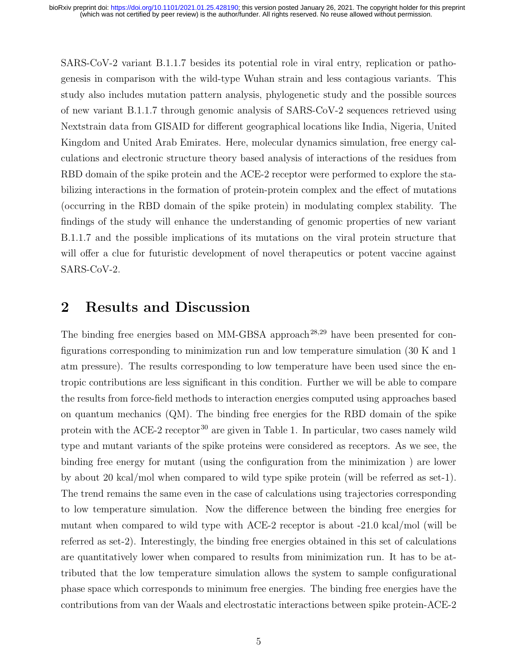SARS-CoV-2 variant B.1.1.7 besides its potential role in viral entry, replication or pathogenesis in comparison with the wild-type Wuhan strain and less contagious variants. This study also includes mutation pattern analysis, phylogenetic study and the possible sources of new variant B.1.1.7 through genomic analysis of SARS-CoV-2 sequences retrieved using Nextstrain data from GISAID for different geographical locations like India, Nigeria, United Kingdom and United Arab Emirates. Here, molecular dynamics simulation, free energy calculations and electronic structure theory based analysis of interactions of the residues from RBD domain of the spike protein and the ACE-2 receptor were performed to explore the stabilizing interactions in the formation of protein-protein complex and the effect of mutations (occurring in the RBD domain of the spike protein) in modulating complex stability. The findings of the study will enhance the understanding of genomic properties of new variant B.1.1.7 and the possible implications of its mutations on the viral protein structure that will offer a clue for futuristic development of novel therapeutics or potent vaccine against SARS-CoV-2.

# 2 Results and Discussion

The binding free energies based on  $MM-GBSA$  approach<sup>28,29</sup> have been presented for configurations corresponding to minimization run and low temperature simulation (30 K and 1 atm pressure). The results corresponding to low temperature have been used since the entropic contributions are less significant in this condition. Further we will be able to compare the results from force-field methods to interaction energies computed using approaches based on quantum mechanics (QM). The binding free energies for the RBD domain of the spike protein with the ACE-2 receptor<sup>30</sup> are given in Table 1. In particular, two cases namely wild type and mutant variants of the spike proteins were considered as receptors. As we see, the binding free energy for mutant (using the configuration from the minimization ) are lower by about 20 kcal/mol when compared to wild type spike protein (will be referred as set-1). The trend remains the same even in the case of calculations using trajectories corresponding to low temperature simulation. Now the difference between the binding free energies for mutant when compared to wild type with ACE-2 receptor is about -21.0 kcal/mol (will be referred as set-2). Interestingly, the binding free energies obtained in this set of calculations are quantitatively lower when compared to results from minimization run. It has to be attributed that the low temperature simulation allows the system to sample configurational phase space which corresponds to minimum free energies. The binding free energies have the contributions from van der Waals and electrostatic interactions between spike protein-ACE-2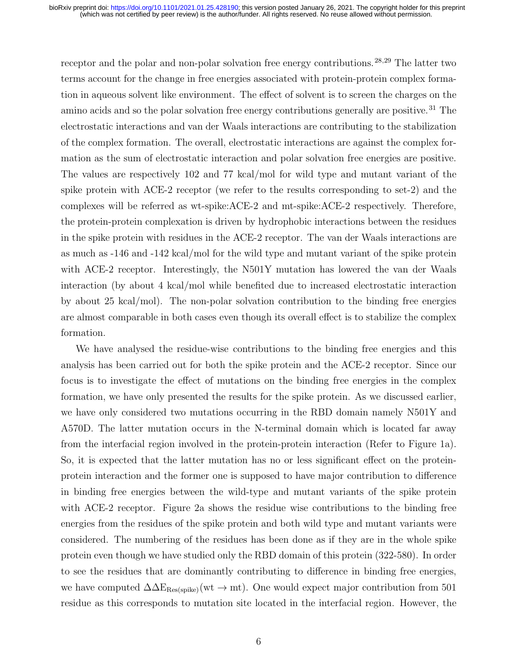receptor and the polar and non-polar solvation free energy contributions.<sup>28,29</sup> The latter two terms account for the change in free energies associated with protein-protein complex formation in aqueous solvent like environment. The effect of solvent is to screen the charges on the amino acids and so the polar solvation free energy contributions generally are positive.<sup>31</sup> The electrostatic interactions and van der Waals interactions are contributing to the stabilization of the complex formation. The overall, electrostatic interactions are against the complex formation as the sum of electrostatic interaction and polar solvation free energies are positive. The values are respectively 102 and 77 kcal/mol for wild type and mutant variant of the spike protein with ACE-2 receptor (we refer to the results corresponding to set-2) and the complexes will be referred as wt-spike:ACE-2 and mt-spike:ACE-2 respectively. Therefore, the protein-protein complexation is driven by hydrophobic interactions between the residues in the spike protein with residues in the ACE-2 receptor. The van der Waals interactions are as much as -146 and -142 kcal/mol for the wild type and mutant variant of the spike protein with ACE-2 receptor. Interestingly, the N501Y mutation has lowered the van der Waals interaction (by about 4 kcal/mol while benefited due to increased electrostatic interaction by about 25 kcal/mol). The non-polar solvation contribution to the binding free energies are almost comparable in both cases even though its overall effect is to stabilize the complex formation.

We have analysed the residue-wise contributions to the binding free energies and this analysis has been carried out for both the spike protein and the ACE-2 receptor. Since our focus is to investigate the effect of mutations on the binding free energies in the complex formation, we have only presented the results for the spike protein. As we discussed earlier, we have only considered two mutations occurring in the RBD domain namely N501Y and A570D. The latter mutation occurs in the N-terminal domain which is located far away from the interfacial region involved in the protein-protein interaction (Refer to Figure 1a). So, it is expected that the latter mutation has no or less significant effect on the proteinprotein interaction and the former one is supposed to have major contribution to difference in binding free energies between the wild-type and mutant variants of the spike protein with ACE-2 receptor. Figure 2a shows the residue wise contributions to the binding free energies from the residues of the spike protein and both wild type and mutant variants were considered. The numbering of the residues has been done as if they are in the whole spike protein even though we have studied only the RBD domain of this protein (322-580). In order to see the residues that are dominantly contributing to difference in binding free energies, we have computed  $\Delta\Delta E_{\text{Res(spike)}}(wt \to mt)$ . One would expect major contribution from 501 residue as this corresponds to mutation site located in the interfacial region. However, the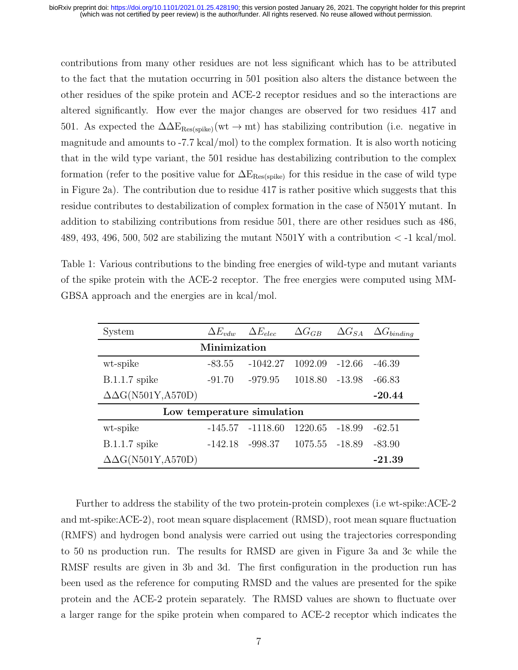contributions from many other residues are not less significant which has to be attributed to the fact that the mutation occurring in 501 position also alters the distance between the other residues of the spike protein and ACE-2 receptor residues and so the interactions are altered significantly. How ever the major changes are observed for two residues 417 and 501. As expected the  $\Delta\Delta E_{\text{Res(spike)}}(wt \to mt)$  has stabilizing contribution (i.e. negative in magnitude and amounts to -7.7 kcal/mol) to the complex formation. It is also worth noticing that in the wild type variant, the 501 residue has destabilizing contribution to the complex formation (refer to the positive value for  $\Delta E_{\text{Res(spike)}}$  for this residue in the case of wild type in Figure 2a). The contribution due to residue 417 is rather positive which suggests that this residue contributes to destabilization of complex formation in the case of N501Y mutant. In addition to stabilizing contributions from residue 501, there are other residues such as 486, 489, 493, 496, 500, 502 are stabilizing the mutant N501Y with a contribution  $\langle$  -1 kcal/mol.

Table 1: Various contributions to the binding free energies of wild-type and mutant variants of the spike protein with the ACE-2 receptor. The free energies were computed using MM-GBSA approach and the energies are in kcal/mol.

| System                         | $\Delta E_{vdw}$ | $\Delta E_{elec}$ | $\Delta G_{GB}$ | $\Delta G_{SA}$ | $\Delta G_{binding}$ |  |  |
|--------------------------------|------------------|-------------------|-----------------|-----------------|----------------------|--|--|
| Minimization                   |                  |                   |                 |                 |                      |  |  |
| wt-spike                       | $-83.55$         | $-1042.27$        | 1092.09         | -12.66          | $-46.39$             |  |  |
| $B.1.1.7$ spike<br>$-91.70$    |                  | $-979.95$         | 1018.80         | -13.98          | $-66.83$             |  |  |
| $\Delta\Delta G($ N501Y,A570D) |                  |                   |                 |                 | $-20.44$             |  |  |
| Low temperature simulation     |                  |                   |                 |                 |                      |  |  |
| wt-spike                       | $-145.57$        | $-1118.60$        | 1220.65         | -18.99          | $-62.51$             |  |  |
| $B.1.1.7$ spike                | $-142.18$        | -998.37           | 1075.55 -18.89  |                 | $-83.90$             |  |  |
| $\Delta\Delta G($ N501Y,A570D) |                  |                   |                 |                 | $-21.39$             |  |  |

Further to address the stability of the two protein-protein complexes (i.e wt-spike:ACE-2 and mt-spike:ACE-2), root mean square displacement (RMSD), root mean square fluctuation (RMFS) and hydrogen bond analysis were carried out using the trajectories corresponding to 50 ns production run. The results for RMSD are given in Figure 3a and 3c while the RMSF results are given in 3b and 3d. The first configuration in the production run has been used as the reference for computing RMSD and the values are presented for the spike protein and the ACE-2 protein separately. The RMSD values are shown to fluctuate over a larger range for the spike protein when compared to ACE-2 receptor which indicates the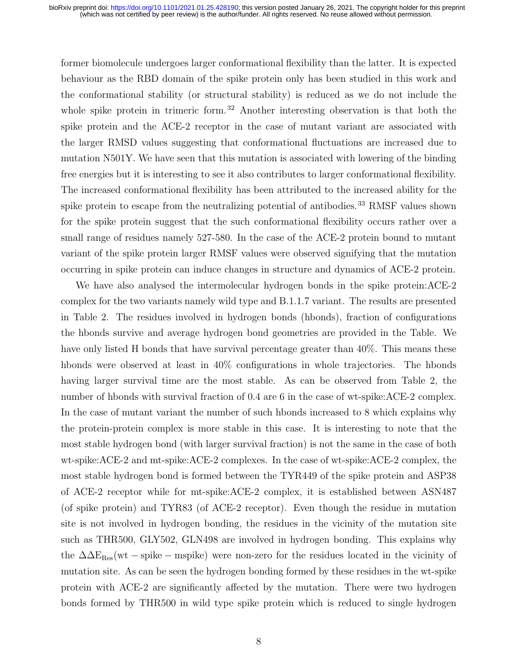former biomolecule undergoes larger conformational flexibility than the latter. It is expected behaviour as the RBD domain of the spike protein only has been studied in this work and the conformational stability (or structural stability) is reduced as we do not include the whole spike protein in trimeric form.<sup>32</sup> Another interesting observation is that both the spike protein and the ACE-2 receptor in the case of mutant variant are associated with the larger RMSD values suggesting that conformational fluctuations are increased due to mutation N501Y. We have seen that this mutation is associated with lowering of the binding free energies but it is interesting to see it also contributes to larger conformational flexibility. The increased conformational flexibility has been attributed to the increased ability for the spike protein to escape from the neutralizing potential of antibodies.<sup>33</sup> RMSF values shown for the spike protein suggest that the such conformational flexibility occurs rather over a small range of residues namely 527-580. In the case of the ACE-2 protein bound to mutant variant of the spike protein larger RMSF values were observed signifying that the mutation occurring in spike protein can induce changes in structure and dynamics of ACE-2 protein.

We have also analysed the intermolecular hydrogen bonds in the spike protein:ACE-2 complex for the two variants namely wild type and B.1.1.7 variant. The results are presented in Table 2. The residues involved in hydrogen bonds (hbonds), fraction of configurations the hbonds survive and average hydrogen bond geometries are provided in the Table. We have only listed H bonds that have survival percentage greater than  $40\%$ . This means these hbonds were observed at least in  $40\%$  configurations in whole trajectories. The hbonds having larger survival time are the most stable. As can be observed from Table 2, the number of hbonds with survival fraction of 0.4 are 6 in the case of wt-spike:ACE-2 complex. In the case of mutant variant the number of such hbonds increased to 8 which explains why the protein-protein complex is more stable in this case. It is interesting to note that the most stable hydrogen bond (with larger survival fraction) is not the same in the case of both wt-spike:ACE-2 and mt-spike:ACE-2 complexes. In the case of wt-spike:ACE-2 complex, the most stable hydrogen bond is formed between the TYR449 of the spike protein and ASP38 of ACE-2 receptor while for mt-spike:ACE-2 complex, it is established between ASN487 (of spike protein) and TYR83 (of ACE-2 receptor). Even though the residue in mutation site is not involved in hydrogen bonding, the residues in the vicinity of the mutation site such as THR500, GLY502, GLN498 are involved in hydrogen bonding. This explains why the  $\Delta\Delta E_{\rm Res}$ (wt – spike – mspike) were non-zero for the residues located in the vicinity of mutation site. As can be seen the hydrogen bonding formed by these residues in the wt-spike protein with ACE-2 are significantly affected by the mutation. There were two hydrogen bonds formed by THR500 in wild type spike protein which is reduced to single hydrogen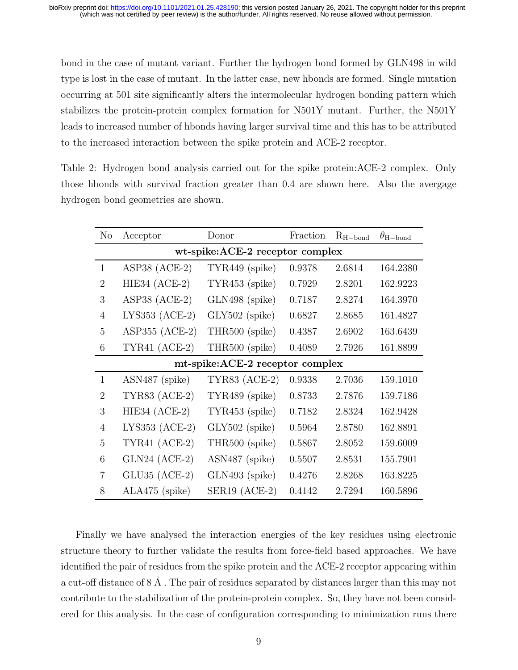bond in the case of mutant variant. Further the hydrogen bond formed by GLN498 in wild type is lost in the case of mutant. In the latter case, new hbonds are formed. Single mutation occurring at 501 site significantly alters the intermolecular hydrogen bonding pattern which stabilizes the protein-protein complex formation for N501Y mutant. Further, the N501Y leads to increased number of hbonds having larger survival time and this has to be attributed to the increased interaction between the spike protein and ACE-2 receptor.

Table 2: Hydrogen bond analysis carried out for the spike protein:ACE-2 complex. Only those hbonds with survival fraction greater than 0.4 are shown here. Also the avergage hydrogen bond geometries are shown.

| N <sub>o</sub>                   | Acceptor             | Donor                | Fraction | $R_{H-bond}$ | $\theta_{\text{H}-\text{bond}}$ |  |
|----------------------------------|----------------------|----------------------|----------|--------------|---------------------------------|--|
| wt-spike:ACE-2 receptor complex  |                      |                      |          |              |                                 |  |
| $\mathbf{1}$                     | ASP38 $(ACE-2)$      | TYR449 (spike)       | 0.9378   | 2.6814       | 164.2380                        |  |
| $\overline{2}$                   | HIE34 $(ACE-2)$      | TYR453 (spike)       | 0.7929   | 2.8201       | 162.9223                        |  |
| 3                                | ASP38 $(ACE-2)$      | GLN498 (spike)       | 0.7187   | 2.8274       | 164.3970                        |  |
| $\overline{4}$                   | LYS353 $(ACE-2)$     | $GLY502$ (spike)     | 0.6827   | 2.8685       | 161.4827                        |  |
| 5                                | ASP355 $(ACE-2)$     | THR500 (spike)       | 0.4387   | 2.6902       | 163.6439                        |  |
| 6                                | $TYR41 (ACE-2)$      | THR500 (spike)       | 0.4089   | 2.7926       | 161.8899                        |  |
| mt-spike: ACE-2 receptor complex |                      |                      |          |              |                                 |  |
| $\mathbf{1}$                     | ASN487 (spike)       | <b>TYR83</b> (ACE-2) | 0.9338   | 2.7036       | 159.1010                        |  |
| $\overline{2}$                   | <b>TYR83 (ACE-2)</b> | TYR489 (spike)       | 0.8733   | 2.7876       | 159.7186                        |  |
| 3                                | HIE34 $(ACE-2)$      | TYR453 (spike)       | 0.7182   | 2.8324       | 162.9428                        |  |
| $\overline{4}$                   | LYS353 $(ACE-2)$     | $GLY502$ (spike)     | 0.5964   | 2.8780       | 162.8891                        |  |
| 5                                | TYR41 $(ACE-2)$      | THR500 (spike)       | 0.5867   | 2.8052       | 159.6009                        |  |
| 6                                | $GLN24$ (ACE-2)      | ASN487 (spike)       | 0.5507   | 2.8531       | 155.7901                        |  |
| $\overline{7}$                   | $GLU35$ (ACE-2)      | GLN493 (spike)       | 0.4276   | 2.8268       | 163.8225                        |  |
| 8                                | ALA475 (spike)       | $SER19 (ACE-2)$      | 0.4142   | 2.7294       | 160.5896                        |  |

Finally we have analysed the interaction energies of the key residues using electronic structure theory to further validate the results from force-field based approaches. We have identified the pair of residues from the spike protein and the ACE-2 receptor appearing within a cut-off distance of  $8 \text{ Å}$ . The pair of residues separated by distances larger than this may not contribute to the stabilization of the protein-protein complex. So, they have not been considered for this analysis. In the case of configuration corresponding to minimization runs there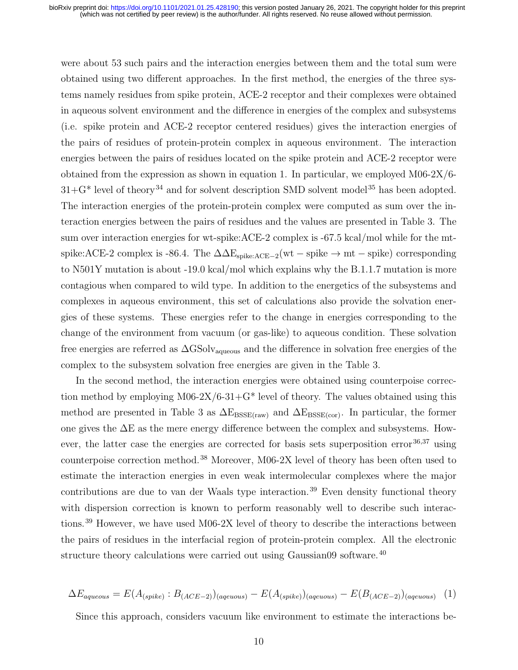were about 53 such pairs and the interaction energies between them and the total sum were obtained using two different approaches. In the first method, the energies of the three systems namely residues from spike protein, ACE-2 receptor and their complexes were obtained in aqueous solvent environment and the difference in energies of the complex and subsystems (i.e. spike protein and ACE-2 receptor centered residues) gives the interaction energies of the pairs of residues of protein-protein complex in aqueous environment. The interaction energies between the pairs of residues located on the spike protein and ACE-2 receptor were obtained from the expression as shown in equation 1. In particular, we employed M06-2X/6-  $31+\text{G*}$  level of theory<sup>34</sup> and for solvent description SMD solvent model<sup>35</sup> has been adopted. The interaction energies of the protein-protein complex were computed as sum over the interaction energies between the pairs of residues and the values are presented in Table 3. The sum over interaction energies for wt-spike:ACE-2 complex is -67.5 kcal/mol while for the mtspike:ACE-2 complex is -86.4. The  $\Delta \Delta E_{spike:ACE-2}(wt - spike \rightarrow mt - spike)$  corresponding to N501Y mutation is about -19.0 kcal/mol which explains why the B.1.1.7 mutation is more contagious when compared to wild type. In addition to the energetics of the subsystems and complexes in aqueous environment, this set of calculations also provide the solvation energies of these systems. These energies refer to the change in energies corresponding to the change of the environment from vacuum (or gas-like) to aqueous condition. These solvation free energies are referred as  $\Delta$ GSolv<sub>aqueous</sub> and the difference in solvation free energies of the complex to the subsystem solvation free energies are given in the Table 3.

In the second method, the interaction energies were obtained using counterpoise correction method by employing M06-2X/6-31+ $G^*$  level of theory. The values obtained using this method are presented in Table 3 as  $\Delta E_{BSSE(raw)}$  and  $\Delta E_{BSSE(cor)}$ . In particular, the former one gives the ∆E as the mere energy difference between the complex and subsystems. However, the latter case the energies are corrected for basis sets superposition error  $36,37$  using counterpoise correction method.<sup>38</sup> Moreover, M06-2X level of theory has been often used to estimate the interaction energies in even weak intermolecular complexes where the major contributions are due to van der Waals type interaction.<sup>39</sup> Even density functional theory with dispersion correction is known to perform reasonably well to describe such interactions.<sup>39</sup> However, we have used M06-2X level of theory to describe the interactions between the pairs of residues in the interfacial region of protein-protein complex. All the electronic structure theory calculations were carried out using Gaussian09 software.<sup>40</sup>

$$
\Delta E_{aqueous} = E(A_{(spike)} : B_{(ACE-2)})_{(aqueuous)} - E(A_{(spike)})_{(aqueuous)} - E(B_{(ACE-2)})_{(aqueuous)} \tag{1}
$$

Since this approach, considers vacuum like environment to estimate the interactions be-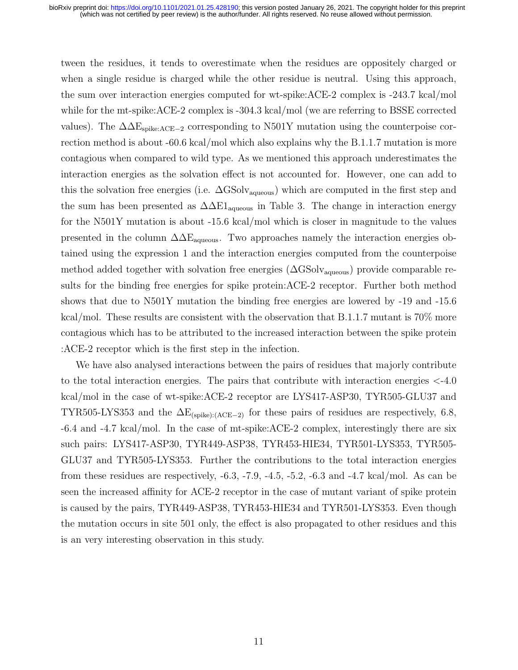tween the residues, it tends to overestimate when the residues are oppositely charged or when a single residue is charged while the other residue is neutral. Using this approach, the sum over interaction energies computed for wt-spike:ACE-2 complex is -243.7 kcal/mol while for the mt-spike:ACE-2 complex is -304.3 kcal/mol (we are referring to BSSE corrected values). The  $\Delta\Delta E_{spike:ACE-2}$  corresponding to N501Y mutation using the counterpoise correction method is about -60.6 kcal/mol which also explains why the B.1.1.7 mutation is more contagious when compared to wild type. As we mentioned this approach underestimates the interaction energies as the solvation effect is not accounted for. However, one can add to this the solvation free energies (i.e.  $\Delta$ GSolv<sub>aqueous</sub>) which are computed in the first step and the sum has been presented as  $\Delta \Delta E1_{\text{aqueous}}$  in Table 3. The change in interaction energy for the N501Y mutation is about -15.6 kcal/mol which is closer in magnitude to the values presented in the column  $\Delta\Delta E_{\text{aqueous}}$ . Two approaches namely the interaction energies obtained using the expression 1 and the interaction energies computed from the counterpoise method added together with solvation free energies  $(\Delta$ GSolv<sub>aqueous</sub>) provide comparable results for the binding free energies for spike protein:ACE-2 receptor. Further both method shows that due to N501Y mutation the binding free energies are lowered by -19 and -15.6 kcal/mol. These results are consistent with the observation that B.1.1.7 mutant is 70% more contagious which has to be attributed to the increased interaction between the spike protein :ACE-2 receptor which is the first step in the infection.

We have also analysed interactions between the pairs of residues that majorly contribute to the total interaction energies. The pairs that contribute with interaction energies <-4.0 kcal/mol in the case of wt-spike:ACE-2 receptor are LYS417-ASP30, TYR505-GLU37 and TYR505-LYS353 and the  $\Delta E_{\text{(spike)}:(ACE-2)}$  for these pairs of residues are respectively, 6.8, -6.4 and -4.7 kcal/mol. In the case of mt-spike:ACE-2 complex, interestingly there are six such pairs: LYS417-ASP30, TYR449-ASP38, TYR453-HIE34, TYR501-LYS353, TYR505- GLU37 and TYR505-LYS353. Further the contributions to the total interaction energies from these residues are respectively, -6.3, -7.9, -4.5, -5.2, -6.3 and -4.7 kcal/mol. As can be seen the increased affinity for ACE-2 receptor in the case of mutant variant of spike protein is caused by the pairs, TYR449-ASP38, TYR453-HIE34 and TYR501-LYS353. Even though the mutation occurs in site 501 only, the effect is also propagated to other residues and this is an very interesting observation in this study.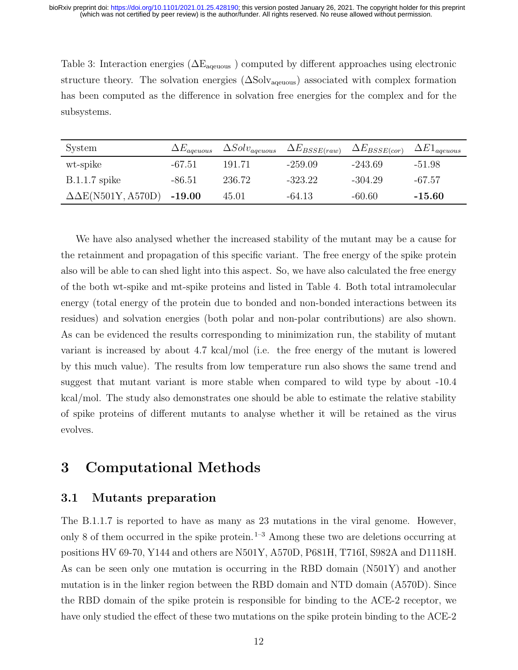Table 3: Interaction energies ( $\Delta E_{\text{aqeuous}}$ ) computed by different approaches using electronic structure theory. The solvation energies  $(\Delta$ Solv<sub>ageuous</sub>) associated with complex formation has been computed as the difference in solvation free energies for the complex and for the subsystems.

| System                          | $\Delta E_{a}$ <sub>ageuous</sub> | $\Delta Solv_{a}$ qeuous | $\Delta E_{BSSE(raw)}$ | $\Delta E_{BSSE(cor)}$ | $\Delta E1_{a}$ qeuous |
|---------------------------------|-----------------------------------|--------------------------|------------------------|------------------------|------------------------|
| wt-spike                        | -67.51                            | 191.71                   | $-259.09$              | $-243.69$              | -51.98                 |
| $B.1.1.7$ spike                 | -86.51                            | 236.72                   | $-323.22$              | $-304.29$              | -67.57                 |
| $\Delta \Delta E(N501Y, A570D)$ | $-19.00$                          | 45.01                    | $-64.13$               | -60.60                 | $-15.60$               |

We have also analysed whether the increased stability of the mutant may be a cause for the retainment and propagation of this specific variant. The free energy of the spike protein also will be able to can shed light into this aspect. So, we have also calculated the free energy of the both wt-spike and mt-spike proteins and listed in Table 4. Both total intramolecular energy (total energy of the protein due to bonded and non-bonded interactions between its residues) and solvation energies (both polar and non-polar contributions) are also shown. As can be evidenced the results corresponding to minimization run, the stability of mutant variant is increased by about 4.7 kcal/mol (i.e. the free energy of the mutant is lowered by this much value). The results from low temperature run also shows the same trend and suggest that mutant variant is more stable when compared to wild type by about -10.4 kcal/mol. The study also demonstrates one should be able to estimate the relative stability of spike proteins of different mutants to analyse whether it will be retained as the virus evolves.

# 3 Computational Methods

#### 3.1 Mutants preparation

The B.1.1.7 is reported to have as many as 23 mutations in the viral genome. However, only 8 of them occurred in the spike protein.<sup>1–3</sup> Among these two are deletions occurring at positions HV 69-70, Y144 and others are N501Y, A570D, P681H, T716I, S982A and D1118H. As can be seen only one mutation is occurring in the RBD domain (N501Y) and another mutation is in the linker region between the RBD domain and NTD domain (A570D). Since the RBD domain of the spike protein is responsible for binding to the ACE-2 receptor, we have only studied the effect of these two mutations on the spike protein binding to the ACE-2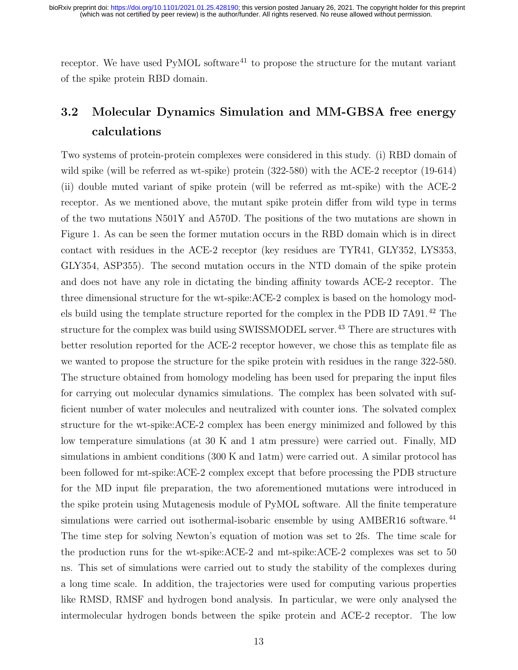receptor. We have used  $PyMOL$  software<sup>41</sup> to propose the structure for the mutant variant of the spike protein RBD domain.

# 3.2 Molecular Dynamics Simulation and MM-GBSA free energy calculations

Two systems of protein-protein complexes were considered in this study. (i) RBD domain of wild spike (will be referred as wt-spike) protein (322-580) with the ACE-2 receptor (19-614) (ii) double muted variant of spike protein (will be referred as mt-spike) with the ACE-2 receptor. As we mentioned above, the mutant spike protein differ from wild type in terms of the two mutations N501Y and A570D. The positions of the two mutations are shown in Figure 1. As can be seen the former mutation occurs in the RBD domain which is in direct contact with residues in the ACE-2 receptor (key residues are TYR41, GLY352, LYS353, GLY354, ASP355). The second mutation occurs in the NTD domain of the spike protein and does not have any role in dictating the binding affinity towards ACE-2 receptor. The three dimensional structure for the wt-spike:ACE-2 complex is based on the homology models build using the template structure reported for the complex in the PDB ID 7A91.<sup>42</sup> The structure for the complex was build using SWISSMODEL server.<sup>43</sup> There are structures with better resolution reported for the ACE-2 receptor however, we chose this as template file as we wanted to propose the structure for the spike protein with residues in the range 322-580. The structure obtained from homology modeling has been used for preparing the input files for carrying out molecular dynamics simulations. The complex has been solvated with sufficient number of water molecules and neutralized with counter ions. The solvated complex structure for the wt-spike:ACE-2 complex has been energy minimized and followed by this low temperature simulations (at 30 K and 1 atm pressure) were carried out. Finally, MD simulations in ambient conditions (300 K and 1atm) were carried out. A similar protocol has been followed for mt-spike:ACE-2 complex except that before processing the PDB structure for the MD input file preparation, the two aforementioned mutations were introduced in the spike protein using Mutagenesis module of PyMOL software. All the finite temperature simulations were carried out isothermal-isobaric ensemble by using AMBER16 software.<sup>44</sup> The time step for solving Newton's equation of motion was set to 2fs. The time scale for the production runs for the wt-spike:ACE-2 and mt-spike:ACE-2 complexes was set to 50 ns. This set of simulations were carried out to study the stability of the complexes during a long time scale. In addition, the trajectories were used for computing various properties like RMSD, RMSF and hydrogen bond analysis. In particular, we were only analysed the intermolecular hydrogen bonds between the spike protein and ACE-2 receptor. The low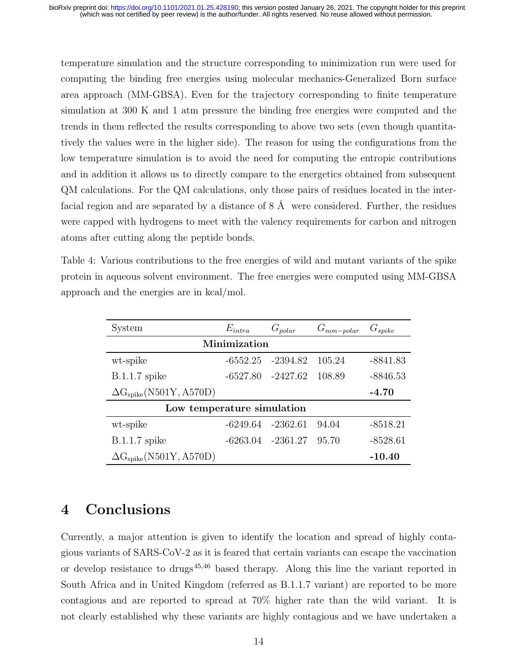temperature simulation and the structure corresponding to minimization run were used for computing the binding free energies using molecular mechanics-Generalized Born surface area approach (MM-GBSA). Even for the trajectory corresponding to finite temperature simulation at 300 K and 1 atm pressure the binding free energies were computed and the trends in them reflected the results corresponding to above two sets (even though quantitatively the values were in the higher side). The reason for using the configurations from the low temperature simulation is to avoid the need for computing the entropic contributions and in addition it allows us to directly compare to the energetics obtained from subsequent QM calculations. For the QM calculations, only those pairs of residues located in the interfacial region and are separated by a distance of  $8 \text{ Å}$  were considered. Further, the residues were capped with hydrogens to meet with the valency requirements for carbon and nitrogen atoms after cutting along the peptide bonds.

Table 4: Various contributions to the free energies of wild and mutant variants of the spike protein in aqueous solvent environment. The free energies were computed using MM-GBSA approach and the energies are in kcal/mol.

| System                           | $E_{intra}$ | $G_{polar}$ | $G_{non-polar}$ | $G_{spike}$ |  |  |
|----------------------------------|-------------|-------------|-----------------|-------------|--|--|
| Minimization                     |             |             |                 |             |  |  |
| wt-spike                         | $-6552.25$  | -2394.82    | 105.24          | -8841.83    |  |  |
| $B.1.1.7$ spike                  | $-6527.80$  | -2427.62    | 108.89          | $-8846.53$  |  |  |
| $\Delta G_{spike}(N501Y, A570D)$ |             |             |                 | $-4.70$     |  |  |
| Low temperature simulation       |             |             |                 |             |  |  |
| wt-spike                         | -6249.64    | $-2362.61$  | 94.04           | $-8518.21$  |  |  |
| $B.1.1.7$ spike                  | -6263.04    | -2361.27    | 95.70           | $-8528.61$  |  |  |
| $\Delta G_{spike}(N501Y, A570D)$ |             |             |                 | $-10.40$    |  |  |

# 4 Conclusions

Currently, a major attention is given to identify the location and spread of highly contagious variants of SARS-CoV-2 as it is feared that certain variants can escape the vaccination or develop resistance to drugs<sup> $45,46$ </sup> based therapy. Along this line the variant reported in South Africa and in United Kingdom (referred as B.1.1.7 variant) are reported to be more contagious and are reported to spread at 70% higher rate than the wild variant. It is not clearly established why these variants are highly contagious and we have undertaken a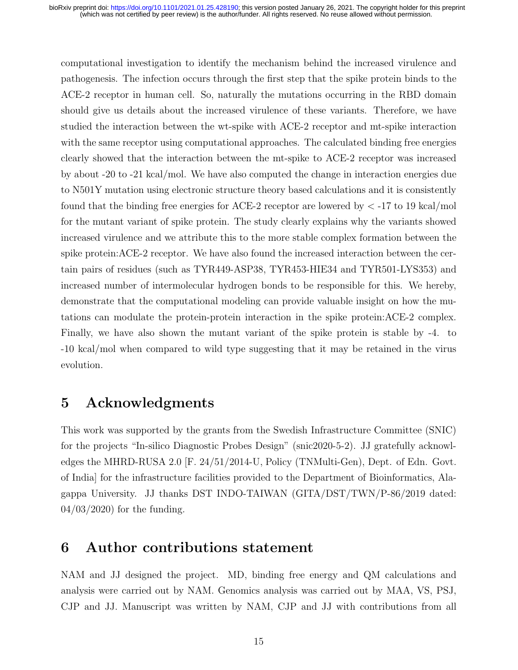computational investigation to identify the mechanism behind the increased virulence and pathogenesis. The infection occurs through the first step that the spike protein binds to the ACE-2 receptor in human cell. So, naturally the mutations occurring in the RBD domain should give us details about the increased virulence of these variants. Therefore, we have studied the interaction between the wt-spike with ACE-2 receptor and mt-spike interaction with the same receptor using computational approaches. The calculated binding free energies clearly showed that the interaction between the mt-spike to ACE-2 receptor was increased by about -20 to -21 kcal/mol. We have also computed the change in interaction energies due to N501Y mutation using electronic structure theory based calculations and it is consistently found that the binding free energies for ACE-2 receptor are lowered by  $\lt$  -17 to 19 kcal/mol for the mutant variant of spike protein. The study clearly explains why the variants showed increased virulence and we attribute this to the more stable complex formation between the spike protein:ACE-2 receptor. We have also found the increased interaction between the certain pairs of residues (such as TYR449-ASP38, TYR453-HIE34 and TYR501-LYS353) and increased number of intermolecular hydrogen bonds to be responsible for this. We hereby, demonstrate that the computational modeling can provide valuable insight on how the mutations can modulate the protein-protein interaction in the spike protein:ACE-2 complex. Finally, we have also shown the mutant variant of the spike protein is stable by -4. to -10 kcal/mol when compared to wild type suggesting that it may be retained in the virus evolution.

# 5 Acknowledgments

This work was supported by the grants from the Swedish Infrastructure Committee (SNIC) for the projects "In-silico Diagnostic Probes Design" (snic2020-5-2). JJ gratefully acknowledges the MHRD-RUSA 2.0 [F. 24/51/2014-U, Policy (TNMulti-Gen), Dept. of Edn. Govt. of India] for the infrastructure facilities provided to the Department of Bioinformatics, Alagappa University. JJ thanks DST INDO-TAIWAN (GITA/DST/TWN/P-86/2019 dated:  $04/03/2020$  for the funding.

# 6 Author contributions statement

NAM and JJ designed the project. MD, binding free energy and QM calculations and analysis were carried out by NAM. Genomics analysis was carried out by MAA, VS, PSJ, CJP and JJ. Manuscript was written by NAM, CJP and JJ with contributions from all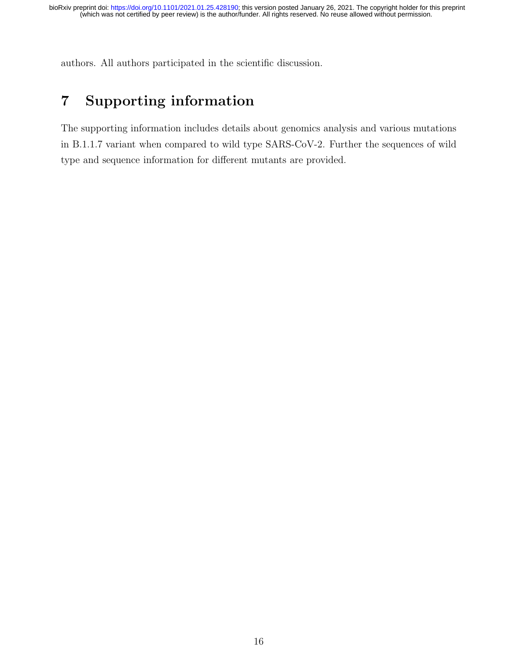authors. All authors participated in the scientific discussion.

# 7 Supporting information

The supporting information includes details about genomics analysis and various mutations in B.1.1.7 variant when compared to wild type SARS-CoV-2. Further the sequences of wild type and sequence information for different mutants are provided.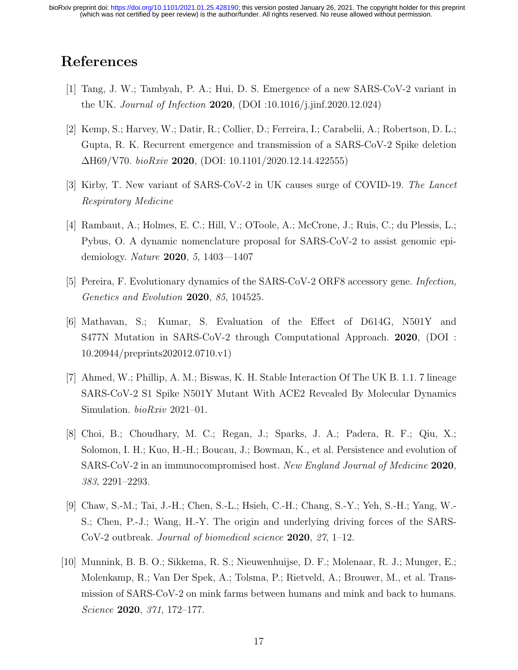# References

- [1] Tang, J. W.; Tambyah, P. A.; Hui, D. S. Emergence of a new SARS-CoV-2 variant in the UK. Journal of Infection 2020, (DOI :10.1016/j.jinf.2020.12.024)
- [2] Kemp, S.; Harvey, W.; Datir, R.; Collier, D.; Ferreira, I.; Carabelii, A.; Robertson, D. L.; Gupta, R. K. Recurrent emergence and transmission of a SARS-CoV-2 Spike deletion  $\Delta$ H69/V70. bioRxiv 2020, (DOI: 10.1101/2020.12.14.422555)
- [3] Kirby, T. New variant of SARS-CoV-2 in UK causes surge of COVID-19. The Lancet Respiratory Medicine
- [4] Rambaut, A.; Holmes, E. C.; Hill, V.; OToole, A.; McCrone, J.; Ruis, C.; du Plessis, L.; Pybus, O. A dynamic nomenclature proposal for SARS-CoV-2 to assist genomic epidemiology. Nature 2020, 5, 1403—1407
- [5] Pereira, F. Evolutionary dynamics of the SARS-CoV-2 ORF8 accessory gene. Infection, Genetics and Evolution 2020, 85, 104525.
- [6] Mathavan, S.; Kumar, S. Evaluation of the Effect of D614G, N501Y and S477N Mutation in SARS-CoV-2 through Computational Approach. 2020, (DOI : 10.20944/preprints202012.0710.v1)
- [7] Ahmed, W.; Phillip, A. M.; Biswas, K. H. Stable Interaction Of The UK B. 1.1. 7 lineage SARS-CoV-2 S1 Spike N501Y Mutant With ACE2 Revealed By Molecular Dynamics Simulation. *bioRxiv* 2021-01.
- [8] Choi, B.; Choudhary, M. C.; Regan, J.; Sparks, J. A.; Padera, R. F.; Qiu, X.; Solomon, I. H.; Kuo, H.-H.; Boucau, J.; Bowman, K., et al. Persistence and evolution of SARS-CoV-2 in an immunocompromised host. New England Journal of Medicine 2020, 383, 2291–2293.
- [9] Chaw, S.-M.; Tai, J.-H.; Chen, S.-L.; Hsieh, C.-H.; Chang, S.-Y.; Yeh, S.-H.; Yang, W.- S.; Chen, P.-J.; Wang, H.-Y. The origin and underlying driving forces of the SARS-CoV-2 outbreak. Journal of biomedical science 2020, 27, 1–12.
- [10] Munnink, B. B. O.; Sikkema, R. S.; Nieuwenhuijse, D. F.; Molenaar, R. J.; Munger, E.; Molenkamp, R.; Van Der Spek, A.; Tolsma, P.; Rietveld, A.; Brouwer, M., et al. Transmission of SARS-CoV-2 on mink farms between humans and mink and back to humans. Science 2020, 371, 172–177.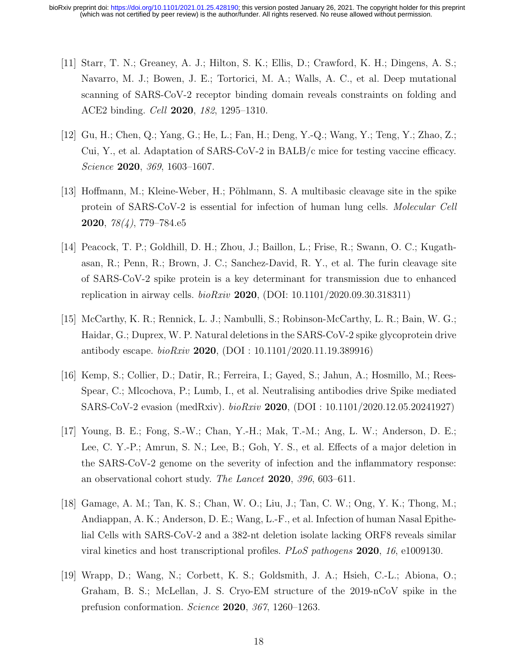- [11] Starr, T. N.; Greaney, A. J.; Hilton, S. K.; Ellis, D.; Crawford, K. H.; Dingens, A. S.; Navarro, M. J.; Bowen, J. E.; Tortorici, M. A.; Walls, A. C., et al. Deep mutational scanning of SARS-CoV-2 receptor binding domain reveals constraints on folding and ACE2 binding. Cell 2020, 182, 1295–1310.
- [12] Gu, H.; Chen, Q.; Yang, G.; He, L.; Fan, H.; Deng, Y.-Q.; Wang, Y.; Teng, Y.; Zhao, Z.; Cui, Y., et al. Adaptation of SARS-CoV-2 in BALB/c mice for testing vaccine efficacy. Science **2020**, 369, 1603-1607.
- [13] Hoffmann, M.; Kleine-Weber, H.; Pöhlmann, S. A multibasic cleavage site in the spike protein of SARS-CoV-2 is essential for infection of human lung cells. Molecular Cell 2020, 78(4), 779–784.e5
- [14] Peacock, T. P.; Goldhill, D. H.; Zhou, J.; Baillon, L.; Frise, R.; Swann, O. C.; Kugathasan, R.; Penn, R.; Brown, J. C.; Sanchez-David, R. Y., et al. The furin cleavage site of SARS-CoV-2 spike protein is a key determinant for transmission due to enhanced replication in airway cells.  $bioRxiv$  2020, (DOI: 10.1101/2020.09.30.318311)
- [15] McCarthy, K. R.; Rennick, L. J.; Nambulli, S.; Robinson-McCarthy, L. R.; Bain, W. G.; Haidar, G.; Duprex, W. P. Natural deletions in the SARS-CoV-2 spike glycoprotein drive antibody escape.  $bioRxiv$  **2020**, (DOI : 10.1101/2020.11.19.389916)
- [16] Kemp, S.; Collier, D.; Datir, R.; Ferreira, I.; Gayed, S.; Jahun, A.; Hosmillo, M.; Rees-Spear, C.; Mlcochova, P.; Lumb, I., et al. Neutralising antibodies drive Spike mediated SARS-CoV-2 evasion (medRxiv). bioRxiv 2020, (DOI : 10.1101/2020.12.05.20241927)
- [17] Young, B. E.; Fong, S.-W.; Chan, Y.-H.; Mak, T.-M.; Ang, L. W.; Anderson, D. E.; Lee, C. Y.-P.; Amrun, S. N.; Lee, B.; Goh, Y. S., et al. Effects of a major deletion in the SARS-CoV-2 genome on the severity of infection and the inflammatory response: an observational cohort study. The Lancet 2020, 396, 603–611.
- [18] Gamage, A. M.; Tan, K. S.; Chan, W. O.; Liu, J.; Tan, C. W.; Ong, Y. K.; Thong, M.; Andiappan, A. K.; Anderson, D. E.; Wang, L.-F., et al. Infection of human Nasal Epithelial Cells with SARS-CoV-2 and a 382-nt deletion isolate lacking ORF8 reveals similar viral kinetics and host transcriptional profiles. PLoS pathogens 2020, 16, e1009130.
- [19] Wrapp, D.; Wang, N.; Corbett, K. S.; Goldsmith, J. A.; Hsieh, C.-L.; Abiona, O.; Graham, B. S.; McLellan, J. S. Cryo-EM structure of the 2019-nCoV spike in the prefusion conformation. Science 2020, 367, 1260–1263.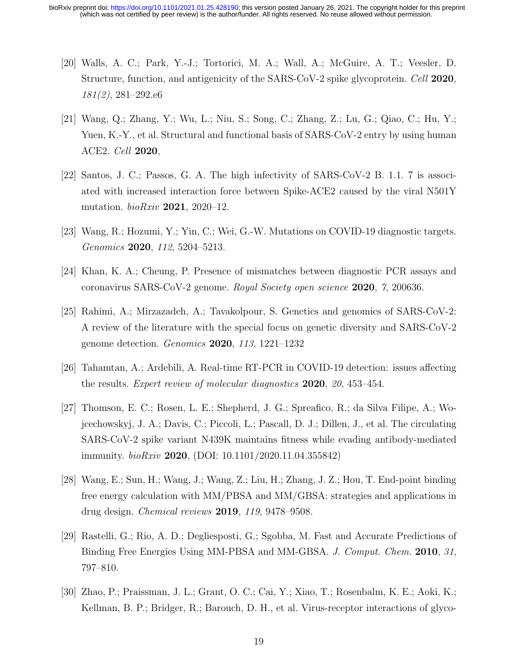- [20] Walls, A. C.; Park, Y.-J.; Tortorici, M. A.; Wall, A.; McGuire, A. T.; Veesler, D. Structure, function, and antigenicity of the SARS-CoV-2 spike glycoprotein. Cell 2020, 181(2), 281–292.e6
- [21] Wang, Q.; Zhang, Y.; Wu, L.; Niu, S.; Song, C.; Zhang, Z.; Lu, G.; Qiao, C.; Hu, Y.; Yuen, K.-Y., et al. Structural and functional basis of SARS-CoV-2 entry by using human ACE2. Cell 2020,
- [22] Santos, J. C.; Passos, G. A. The high infectivity of SARS-CoV-2 B. 1.1. 7 is associated with increased interaction force between Spike-ACE2 caused by the viral N501Y mutation.  $bioRxiv$  **2021**, 2020–12.
- [23] Wang, R.; Hozumi, Y.; Yin, C.; Wei, G.-W. Mutations on COVID-19 diagnostic targets. Genomics 2020, 112, 5204–5213.
- [24] Khan, K. A.; Cheung, P. Presence of mismatches between diagnostic PCR assays and coronavirus SARS-CoV-2 genome. Royal Society open science 2020, 7, 200636.
- [25] Rahimi, A.; Mirzazadeh, A.; Tavakolpour, S. Genetics and genomics of SARS-CoV-2: A review of the literature with the special focus on genetic diversity and SARS-CoV-2 genome detection. Genomics 2020, 113, 1221–1232
- [26] Tahamtan, A.; Ardebili, A. Real-time RT-PCR in COVID-19 detection: issues affecting the results. Expert review of molecular diagnostics 2020, 20, 453–454.
- [27] Thomson, E. C.; Rosen, L. E.; Shepherd, J. G.; Spreafico, R.; da Silva Filipe, A.; Wojcechowskyj, J. A.; Davis, C.; Piccoli, L.; Pascall, D. J.; Dillen, J., et al. The circulating SARS-CoV-2 spike variant N439K maintains fitness while evading antibody-mediated immunity.  $bioRxiv$  2020, (DOI: 10.1101/2020.11.04.355842)
- [28] Wang, E.; Sun, H.; Wang, J.; Wang, Z.; Liu, H.; Zhang, J. Z.; Hou, T. End-point binding free energy calculation with MM/PBSA and MM/GBSA: strategies and applications in drug design. Chemical reviews 2019, 119, 9478–9508.
- [29] Rastelli, G.; Rio, A. D.; Degliesposti, G.; Sgobba, M. Fast and Accurate Predictions of Binding Free Energies Using MM-PBSA and MM-GBSA. J. Comput. Chem. 2010, 31, 797–810.
- [30] Zhao, P.; Praissman, J. L.; Grant, O. C.; Cai, Y.; Xiao, T.; Rosenbalm, K. E.; Aoki, K.; Kellman, B. P.; Bridger, R.; Barouch, D. H., et al. Virus-receptor interactions of glyco-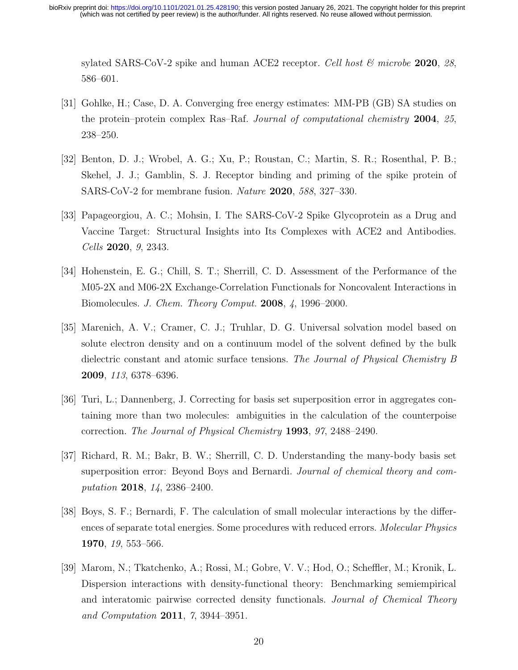sylated SARS-CoV-2 spike and human ACE2 receptor. Cell host  $\mathcal{C}_{\mathcal{D}}$  microbe 2020, 28, 586–601.

- [31] Gohlke, H.; Case, D. A. Converging free energy estimates: MM-PB (GB) SA studies on the protein–protein complex Ras–Raf. Journal of computational chemistry 2004, 25, 238–250.
- [32] Benton, D. J.; Wrobel, A. G.; Xu, P.; Roustan, C.; Martin, S. R.; Rosenthal, P. B.; Skehel, J. J.; Gamblin, S. J. Receptor binding and priming of the spike protein of SARS-CoV-2 for membrane fusion. Nature 2020, 588, 327–330.
- [33] Papageorgiou, A. C.; Mohsin, I. The SARS-CoV-2 Spike Glycoprotein as a Drug and Vaccine Target: Structural Insights into Its Complexes with ACE2 and Antibodies. Cells 2020, 9, 2343.
- [34] Hohenstein, E. G.; Chill, S. T.; Sherrill, C. D. Assessment of the Performance of the M05-2X and M06-2X Exchange-Correlation Functionals for Noncovalent Interactions in Biomolecules. J. Chem. Theory Comput. 2008, 4, 1996–2000.
- [35] Marenich, A. V.; Cramer, C. J.; Truhlar, D. G. Universal solvation model based on solute electron density and on a continuum model of the solvent defined by the bulk dielectric constant and atomic surface tensions. The Journal of Physical Chemistry B 2009, 113, 6378–6396.
- [36] Turi, L.; Dannenberg, J. Correcting for basis set superposition error in aggregates containing more than two molecules: ambiguities in the calculation of the counterpoise correction. The Journal of Physical Chemistry 1993, 97, 2488–2490.
- [37] Richard, R. M.; Bakr, B. W.; Sherrill, C. D. Understanding the many-body basis set superposition error: Beyond Boys and Bernardi. Journal of chemical theory and computation 2018, 14, 2386–2400.
- [38] Boys, S. F.; Bernardi, F. The calculation of small molecular interactions by the differences of separate total energies. Some procedures with reduced errors. *Molecular Physics* 1970, 19, 553–566.
- [39] Marom, N.; Tkatchenko, A.; Rossi, M.; Gobre, V. V.; Hod, O.; Scheffler, M.; Kronik, L. Dispersion interactions with density-functional theory: Benchmarking semiempirical and interatomic pairwise corrected density functionals. Journal of Chemical Theory and Computation 2011, 7, 3944–3951.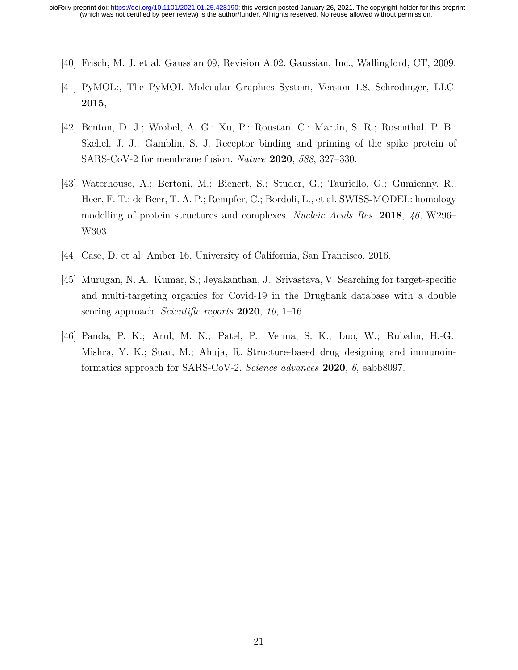- [40] Frisch, M. J. et al. Gaussian 09, Revision A.02. Gaussian, Inc., Wallingford, CT, 2009.
- [41] PyMOL:, The PyMOL Molecular Graphics System, Version 1.8, Schrödinger, LLC. 2015,
- [42] Benton, D. J.; Wrobel, A. G.; Xu, P.; Roustan, C.; Martin, S. R.; Rosenthal, P. B.; Skehel, J. J.; Gamblin, S. J. Receptor binding and priming of the spike protein of SARS-CoV-2 for membrane fusion. Nature 2020, 588, 327–330.
- [43] Waterhouse, A.; Bertoni, M.; Bienert, S.; Studer, G.; Tauriello, G.; Gumienny, R.; Heer, F. T.; de Beer, T. A. P.; Rempfer, C.; Bordoli, L., et al. SWISS-MODEL: homology modelling of protein structures and complexes. Nucleic Acids Res. 2018, 46, W296– W303.
- [44] Case, D. et al. Amber 16, University of California, San Francisco. 2016.
- [45] Murugan, N. A.; Kumar, S.; Jeyakanthan, J.; Srivastava, V. Searching for target-specific and multi-targeting organics for Covid-19 in the Drugbank database with a double scoring approach. Scientific reports  $2020$ , 10, 1–16.
- [46] Panda, P. K.; Arul, M. N.; Patel, P.; Verma, S. K.; Luo, W.; Rubahn, H.-G.; Mishra, Y. K.; Suar, M.; Ahuja, R. Structure-based drug designing and immunoinformatics approach for SARS-CoV-2. Science advances 2020, 6, eabb8097.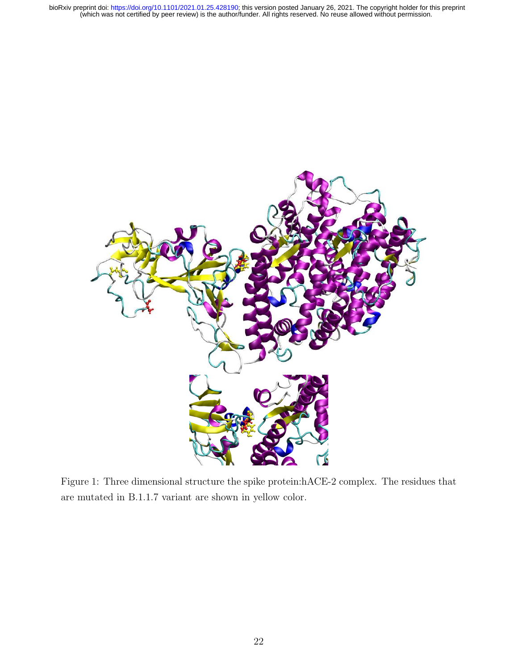

Figure 1: Three dimensional structure the spike protein:hACE-2 complex. The residues that are mutated in B.1.1.7 variant are shown in yellow color.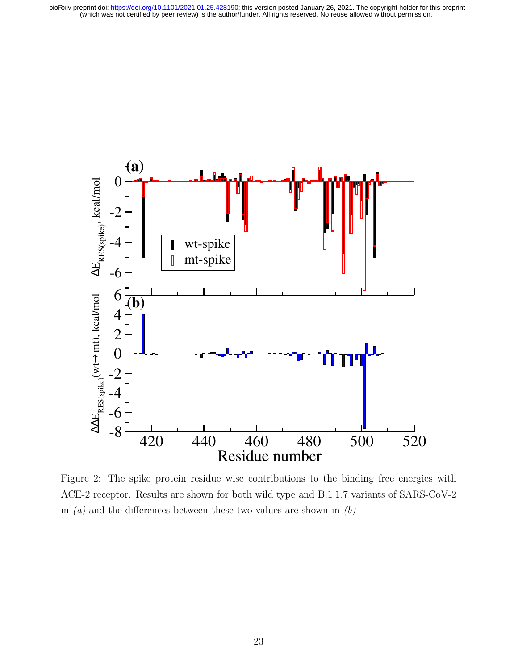

Figure 2: The spike protein residue wise contributions to the binding free energies with ACE-2 receptor. Results are shown for both wild type and B.1.1.7 variants of SARS-CoV-2 in  $(a)$  and the differences between these two values are shown in  $(b)$